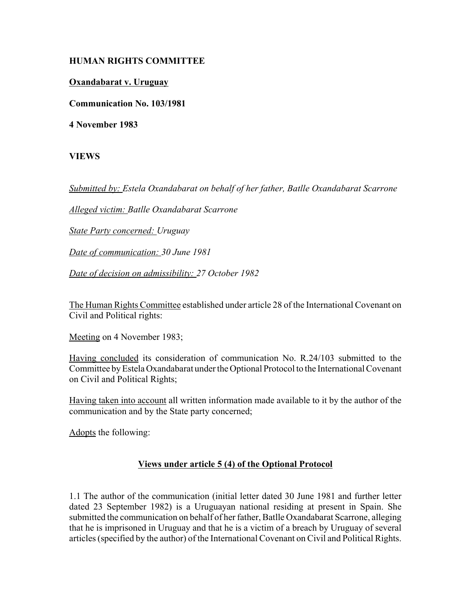## **HUMAN RIGHTS COMMITTEE**

## **Oxandabarat v. Uruguay**

**Communication No. 103/1981**

**4 November 1983**

## **VIEWS**

*Submitted by: Estela Oxandabarat on behalf of her father, Batlle Oxandabarat Scarrone* 

*Alleged victim: Batlle Oxandabarat Scarrone* 

*State Party concerned: Uruguay* 

*Date of communication: 30 June 1981* 

*Date of decision on admissibility: 27 October 1982*

The Human Rights Committee established under article 28 of the International Covenant on Civil and Political rights:

Meeting on 4 November 1983;

Having concluded its consideration of communication No. R.24/103 submitted to the Committee by Estela Oxandabarat under the Optional Protocol to the International Covenant on Civil and Political Rights;

Having taken into account all written information made available to it by the author of the communication and by the State party concerned;

Adopts the following:

## **Views under article 5 (4) of the Optional Protocol**

1.1 The author of the communication (initial letter dated 30 June 1981 and further letter dated 23 September 1982) is a Uruguayan national residing at present in Spain. She submitted the communication on behalf of her father, Batlle Oxandabarat Scarrone, alleging that he is imprisoned in Uruguay and that he is a victim of a breach by Uruguay of several articles (specified by the author) of the International Covenant on Civil and Political Rights.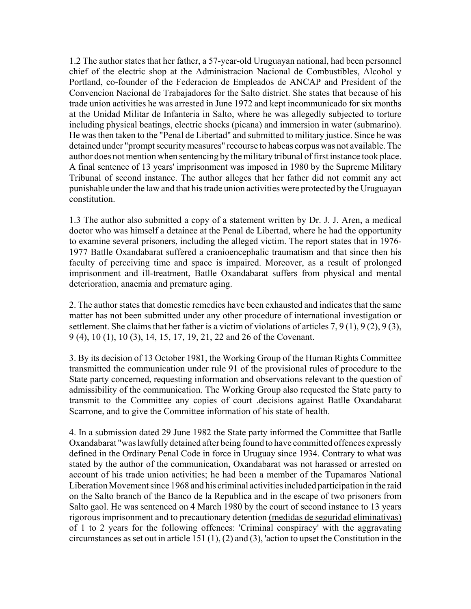1.2 The author states that her father, a 57-year-old Uruguayan national, had been personnel chief of the electric shop at the Administracion Nacional de Combustibles, Alcohol y Portland, co-founder of the Federacion de Empleados de ANCAP and President of the Convencion Nacional de Trabajadores for the Salto district. She states that because of his trade union activities he was arrested in June 1972 and kept incommunicado for six months at the Unidad Militar de Infanteria in Salto, where he was allegedly subjected to torture including physical beatings, electric shocks (picana) and immersion in water (submarino). He was then taken to the "Penal de Libertad" and submitted to military justice. Since he was detained under "prompt security measures" recourse to habeas corpus was not available. The author does not mention when sentencing by the military tribunal of first instance took place. A final sentence of 13 years' imprisonment was imposed in 1980 by the Supreme Military Tribunal of second instance. The author alleges that her father did not commit any act punishable under the law and that his trade union activities were protected by the Uruguayan constitution.

1.3 The author also submitted a copy of a statement written by Dr. J. J. Aren, a medical doctor who was himself a detainee at the Penal de Libertad, where he had the opportunity to examine several prisoners, including the alleged victim. The report states that in 1976- 1977 Batlle Oxandabarat suffered a cranioencephalic traumatism and that since then his faculty of perceiving time and space is impaired. Moreover, as a result of prolonged imprisonment and ill-treatment, Batlle Oxandabarat suffers from physical and mental deterioration, anaemia and premature aging.

2. The author states that domestic remedies have been exhausted and indicates that the same matter has not been submitted under any other procedure of international investigation or settlement. She claims that her father is a victim of violations of articles 7, 9 (1), 9 (2), 9 (3), 9 (4), 10 (1), 10 (3), 14, 15, 17, 19, 21, 22 and 26 of the Covenant.

3. By its decision of 13 October 1981, the Working Group of the Human Rights Committee transmitted the communication under rule 91 of the provisional rules of procedure to the State party concerned, requesting information and observations relevant to the question of admissibility of the communication. The Working Group also requested the State party to transmit to the Committee any copies of court .decisions against Batlle Oxandabarat Scarrone, and to give the Committee information of his state of health.

4. In a submission dated 29 June 1982 the State party informed the Committee that Batlle Oxandabarat "was lawfully detained after being found to have committed offences expressly defined in the Ordinary Penal Code in force in Uruguay since 1934. Contrary to what was stated by the author of the communication, Oxandabarat was not harassed or arrested on account of his trade union activities; he had been a member of the Tupamaros National Liberation Movement since 1968 and his criminal activities included participation in the raid on the Salto branch of the Banco de la Republica and in the escape of two prisoners from Salto gaol. He was sentenced on 4 March 1980 by the court of second instance to 13 years rigorous imprisonment and to precautionary detention (medidas de seguridad eliminativas) of 1 to 2 years for the following offences: 'Criminal conspiracy' with the aggravating circumstances as set out in article 151 (1), (2) and (3), 'action to upset the Constitution in the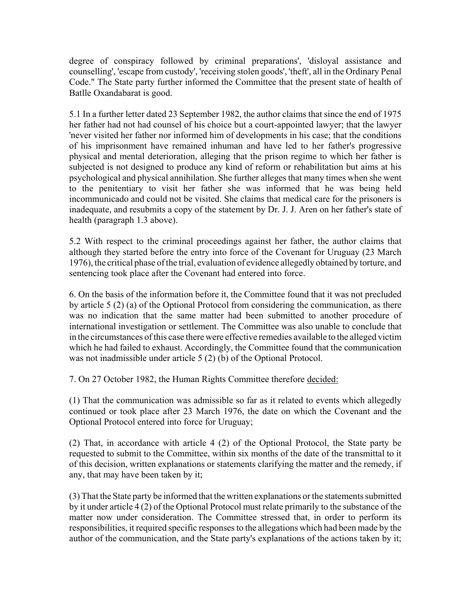degree of conspiracy followed by criminal preparations', 'disloyal assistance and counselling', 'escape from custody', 'receiving stolen goods', 'theft', all in the Ordinary Penal Code." The State party further informed the Committee that the present state of health of Batlle Oxandabarat is good.

5.1 In a further letter dated 23 September 1982, the author claims that since the end of 1975 her father had not had counsel of his choice but a court-appointed lawyer; that the lawyer 'never visited her father nor informed him of developments in his case; that the conditions of his imprisonment have remained inhuman and have led to her father's progressive physical and mental deterioration, alleging that the prison regime to which her father is subjected is not designed to produce any kind of reform or rehabilitation but aims at his psychological and physical annihilation. She further alleges that many times when she went to the penitentiary to visit her father she was informed that he was being held incommunicado and could not be visited. She claims that medical care for the prisoners is inadequate, and resubmits a copy of the statement by Dr. J. J. Aren on her father's state of health (paragraph 1.3 above).

5.2 With respect to the criminal proceedings against her father, the author claims that although they started before the entry into force of the Covenant for Uruguay (23 March 1976), the critical phase of the trial, evaluation of evidence allegedly obtained by torture, and sentencing took place after the Covenant had entered into force.

6. On the basis of the information before it, the Committee found that it was not precluded by article 5 (2) (a) of the Optional Protocol from considering the communication, as there was no indication that the same matter had been submitted to another procedure of international investigation or settlement. The Committee was also unable to conclude that in the circumstances of this case there were effective remedies available to the alleged victim which he had failed to exhaust. Accordingly, the Committee found that the communication was not inadmissible under article 5 (2) (b) of the Optional Protocol.

7. On 27 October 1982, the Human Rights Committee therefore decided:

(1) That the communication was admissible so far as it related to events which allegedly continued or took place after 23 March 1976, the date on which the Covenant and the Optional Protocol entered into force for Uruguay;

(2) That, in accordance with article 4 (2) of the Optional Protocol, the State party be requested to submit to the Committee, within six months of the date of the transmittal to it of this decision, written explanations or statements clarifying the matter and the remedy, if any, that may have been taken by it;

(3) That the State party be informed that the written explanations or the statements submitted by it under article 4 (2) of the Optional Protocol must relate primarily to the substance of the matter now under consideration. The Committee stressed that, in order to perform its responsibilities, it required specific responses to the allegations which had been made by the author of the communication, and the State party's explanations of the actions taken by it;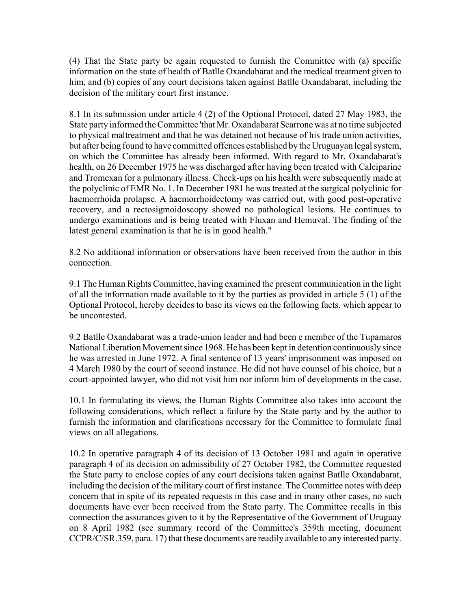(4) That the State party be again requested to furnish the Committee with (a) specific information on the state of health of Batlle Oxandabarat and the medical treatment given to him, and (b) copies of any court decisions taken against Batlle Oxandabarat, including the decision of the military court first instance.

8.1 In its submission under article 4 (2) of the Optional Protocol, dated 27 May 1983, the State party informed the Committee 'that Mr. Oxandabarat Scarrone was at no time subjected to physical maltreatment and that he was detained not because of his trade union activities, but after being found to have committed offences established by the Uruguayan legal system, on which the Committee has already been informed. With regard to Mr. Oxandabarat's health, on 26 December 1975 he was discharged after having been treated with Calciparine and Tromexan for a pulmonary illness. Check-ups on his health were subsequently made at the polyclinic of EMR No. 1. In December 1981 he was treated at the surgical polyclinic for haemorrhoida prolapse. A haemorrhoidectomy was carried out, with good post-operative recovery, and a rectosigmoidoscopy showed no pathological lesions. He continues to undergo examinations and is being treated with Fluxan and Hemuval. The finding of the latest general examination is that he is in good health."

8.2 No additional information or observations have been received from the author in this connection.

9.1 The Human Rights Committee, having examined the present communication in the light of all the information made available to it by the parties as provided in article 5 (1) of the Optional Protocol, hereby decides to base its views on the following facts, which appear to be uncontested.

9.2 Batlle Oxandabarat was a trade-union leader and had been e member of the Tupamaros National Liberation Movement since 1968. He has been kept in detention continuously since he was arrested in June 1972. A final sentence of 13 years' imprisonment was imposed on 4 March 1980 by the court of second instance. He did not have counsel of his choice, but a court-appointed lawyer, who did not visit him nor inform him of developments in the case.

10.1 In formulating its views, the Human Rights Committee also takes into account the following considerations, which reflect a failure by the State party and by the author to furnish the information and clarifications necessary for the Committee to formulate final views on all allegations.

10.2 In operative paragraph 4 of its decision of 13 October 1981 and again in operative paragraph 4 of its decision on admissibility of 27 October 1982, the Committee requested the State party to enclose copies of any court decisions taken against Batlle Oxandabarat, including the decision of the military court of first instance. The Committee notes with deep concern that in spite of its repeated requests in this case and in many other cases, no such documents have ever been received from the State party. The Committee recalls in this connection the assurances given to it by the Representative of the Government of Uruguay on 8 April 1982 (see summary record of the Committee's 359th meeting, document CCPR/C/SR.359, para. 17) that these documents are readily available to any interested party.